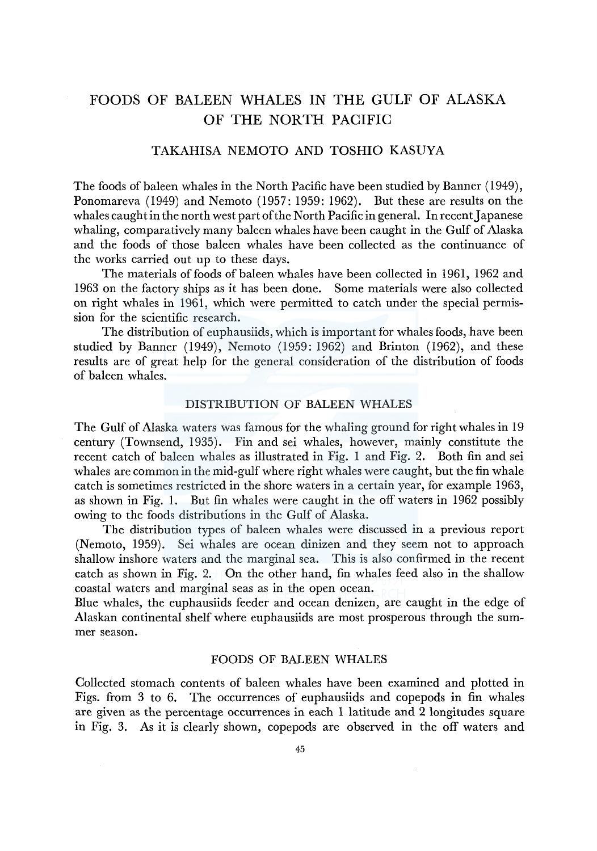# FOODS OF BALEEN WHALES IN THE GULF OF ALASKA OF THE NORTH PACIFIC

## TAKAHISA NEMOTO AND TOSHIO KASUYA

The foods of baleen whales in the North Pacific have been studied by Banner (1949), Ponomareva (1949) and Nemoto (1957: 1959: 1962). But these are results on the whales caught in the north west part of the North Pacific in general. In recent Japanese whaling, comparatively many baleen whales have been caught in the Gulf of Alaska and the foods of those baleen whales have been collected as the continuance of the works carried out up to these days.

The materials of foods of baleen whales have been collected in 1961, 1962 and 1963 on the factory ships as it has been done. Some materials were also collected on right whales in 1961, which were permitted to catch under the special permission for the scientific research.

The distribution of euphausiids, which is important for whales foods, have been studied by Banner (1949), Nemoto (1959: 1962) and Brinton (1962), and these results are of great help for the general consideration of the distribution of foods of baleen whales.

### DISTRIBUTION OF BALEEN WHALES

The Gulf of Alaska waters was famous for the whaling ground for right whales in 19 century (Townsend, 1935). Fin and sei whales, however, mainly constitute the recent catch of baleen whales as illustrated in Fig. 1 and Fig. 2. Both fin and sei whales are common in the mid-gulf where right whales were caught, but the fin whale catch is sometimes restricted in the shore waters in a certain year, for example 1963, as shown in Fig. 1. But fin whales were caught in the off waters in 1962 possibly owing to the foods distributions in the Gulf of Alaska.

The distribution types of baleen whales were discussed in a previous report (Nemoto, 1959). Sei whales are ocean dinizen and they seem not to approach shallow inshore waters and the marginal sea. This is also confirmed in the recent catch as shown in Fig. 2.  $\Box$  On the other hand, fin whales feed also in the shallow coastal waters and marginal seas as in the open ocean.

Blue whales, the euphausiids feeder and ocean denizen, are caught in the edge of Alaskan continental shelf where euphausiids are most prosperous through the summer season.

### FOODS OF BALEEN WHALES

Collected stomach contents of baleen whales have been examined and plotted in Figs. from 3 to 6. The occurrences of euphausiids and copepods in fin whales are given as the percentage occurrences in each 1 latitude and 2 longitudes square in Fig. 3. As it is clearly shown, copepods are observed in the off waters and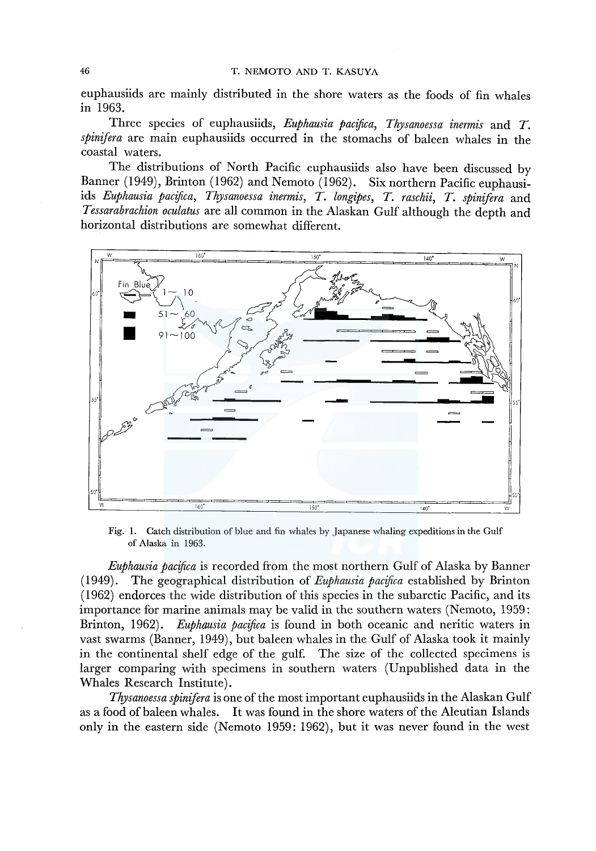euphausiids are mainly distributed in the shore waters as the foods of fin whales in 1963.

Three species of euphausiids, *Euphausia pacijica, Thysanoessa inermis* and *T. spinifera* are main euphausiids occurred in the stomachs of baleen whales in the coastal waters.

The distributions of North Pacific euphausiids also have been discussed by Banner (1949), Brinton (1962) and Nemoto (1962). Six northern Pacific euphausiids *Euphausia pacijica, Thysanoessa inermis, T. longipes, T. raschii, T. spinifera* and *Tessarabrachion oculatus* are all common in the Alaskan Gulf although the depth and horizontal distributions are somewhat different.



Fig. 1. Catch distribution of blue and fin whales by Japanese whaling expeditions in the Gulf of Alaska in 1963.

*Euphausia pacijica* is recorded from the most northern Gulf of Alaska by Banner ( 1949). The geographical distribution of *Euphausia pacijica* established by Brinton ( 1962) endorces the wide distribution of this species in the subarctic Pacific, and its importance for marine animals may be valid in the southern waters (Nemoto, 1959: Brinton, 1962). *Euphausia pacijica* is found in both oceanic and neritic waters in vast swarms (Banner, 1949), but baleen whales in the Gulf of Alaska took it mainly in the continental shelf edge of the gulf. The size of the collected specimens is larger comparing with specimens in southern waters (Unpublished data in the Whales Research Institute).

*Thysanoessa spinifera* is one of the most important euphausiids in the Alaskan Gulf as a food of baleen whales. It was found in the shore waters of the Aleutian Islands only in the eastern side (Nemoto 1959: 1962), but it was never found in the west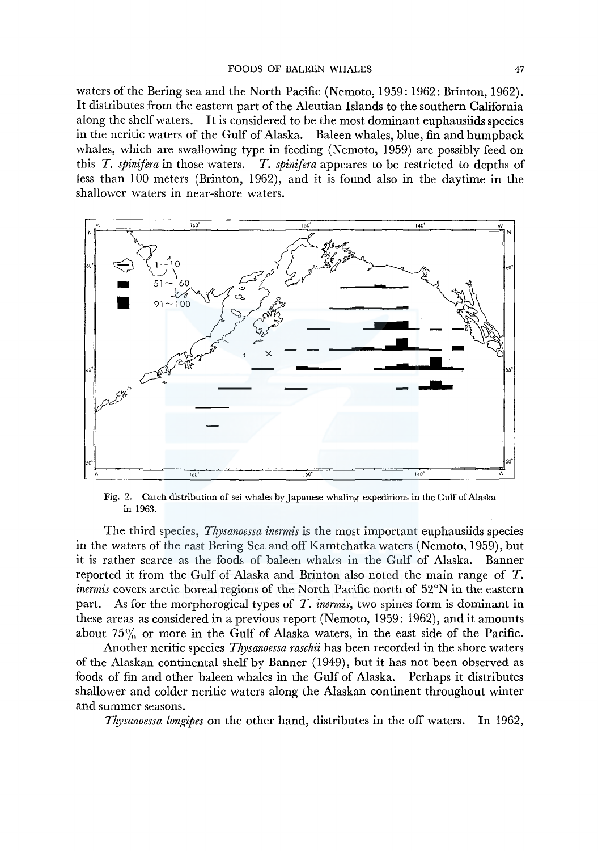waters of the Bering sea and the North Pacific (Nemoto, 1959: 1962: Brinton, 1962). It distributes from the eastern part of the Aleutian Islands to the southern California along the shelf waters. It is considered to be the most dominant euphausiids species in the neritic waters of the Gulf of Alaska. Baleen whales, blue, fin and humpback whales, which are swallowing type in feeding (Nemoto, 1959) are possibly feed on this *T. spinifera* in those waters. *T. spinifera* appeares to be restricted to depths of less than 100 meters (Brinton, 1962), and it is found also in the daytime in the shallower waters in near-shore waters.



Fig. 2. Catch distribution of sei whales by] apanese whaling expeditions in the Gulf of Alaska in 1963.

The third species, *Thysanoessa inermis* is the most important euphausiids species in the waters of the east Bering Sea and off Kamtchatka waters (Nemoto, 1959), but it is rather scarce as the foods of baleen whales in the Gulf of Alaska. Banner reported it from the Gulf of Alaska and Brinton also noted the main range of T. *inermis* covers arctic boreal regions of the North Pacific north of 52°N in the eastern part. As for the morphorogical types of *T. inermis,* two spines form is dominant in these areas as considered in a previous report (Nemoto, 1959: 1962), and it amounts about  $75\%$  or more in the Gulf of Alaska waters, in the east side of the Pacific.

Another neritic species *Thysanoessa raschii* has been recorded in the shore waters of the Alaskan continental shelf by Banner (1949), but it has not been observed as foods of fin and other baleen whales in the Gulf of Alaska. Perhaps it distributes shallower and colder neritic waters along the Alaskan continent throughout winter and summer seasons.

*Thysanoessa longipes* on the other hand, distributes in the off waters. In 1962,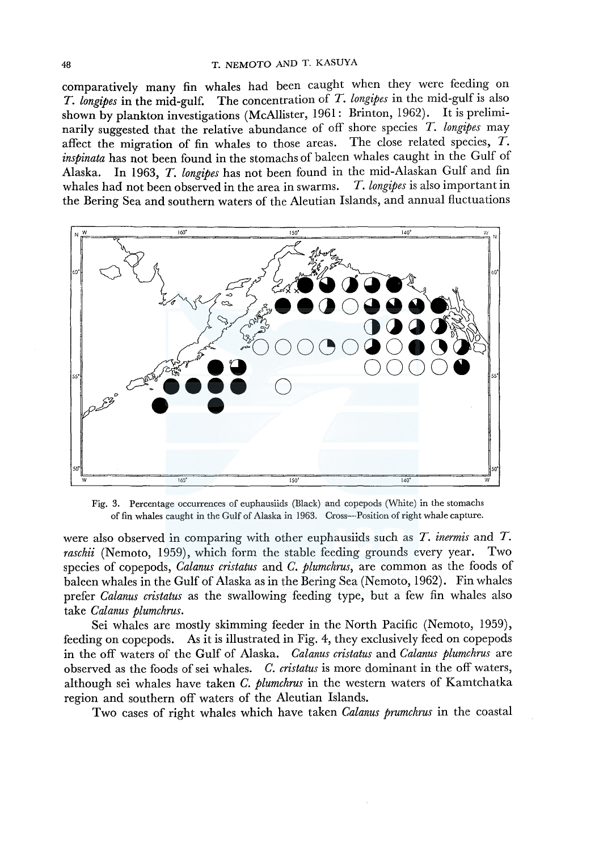comparatively many fin whales had been caught when they were feeding on *T. longipes* in the mid-gulf. The concentration of *T. longipes* in the mid-gulf is also shown by plankton investigations (McAllister, 1961: Brinton, 1962). It is preliminarily suggested that the relative abundance of off shore species *T. longipes* may affect the migration of fin whales to those areas. The close related species,  $\overrightarrow{T}$ . *inspinata* has not been found in the stomachs of baleen whales caught in the Gulf of Alaska. In 1963, *T. longipes* has not been found in the mid-Alaskan Gulf and fin whales had not been observed in the area in swarms. the Bering Sea and southern waters of the Aleutian Islands, and annual fluctuations



Fig. 3. Percentage occurrences of euphausiids (Black) and copepods (White) in the stomachs of fin whales caught in the Gulf of Alaska in 1963. Cross-Position of right whale capture.

were also observed in comparing with other euphausiids such as *T. inermis* and *T. raschii* (Nemoto, 1959), which form the stable feeding grounds every year. Two species of copepods, *Calanus cristatus* and *C. plumchrus,* are common as the foods of baleen whales in the Gulf of Alaska as in the Bering Sea (Nemoto, 1962). Fin whales prefer *Calanus cristatus* as the swallowing feeding type, but a few fin whales also take *Calanus plumchrus.* 

Sei whales are mostly skimming feeder in the North Pacific (Nemoto, 1959), feeding on copepods. As it is illustrated in Fig. 4, they exclusively feed on copepods in the off waters of the Gulf of Alaska. *Calanus cristatus* and *Calanus plumchrus* are observed as the foods of sei whales. *C. cristatus* is more dominant in the off waters, although sei whales have taken *C. plumchrus* in the western waters of Kamtchatka region and southern off waters of the Aleutian Islands.

Two cases of right whales which have taken *Calanus prumchrus* in the coastal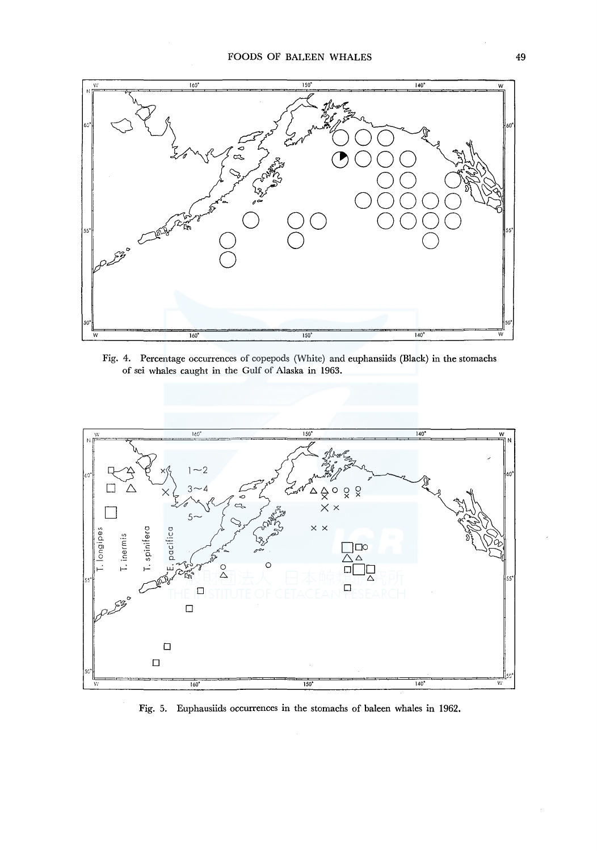

Fig. 4. Percentage occurrences of copepods (White) and euphansiids (Black) in the stomachs of sei whales caught in the Gulf of Alaska in 1963.



Fig. 5. Euphausiids occurrences in the stomachs of baleen whales in 1962.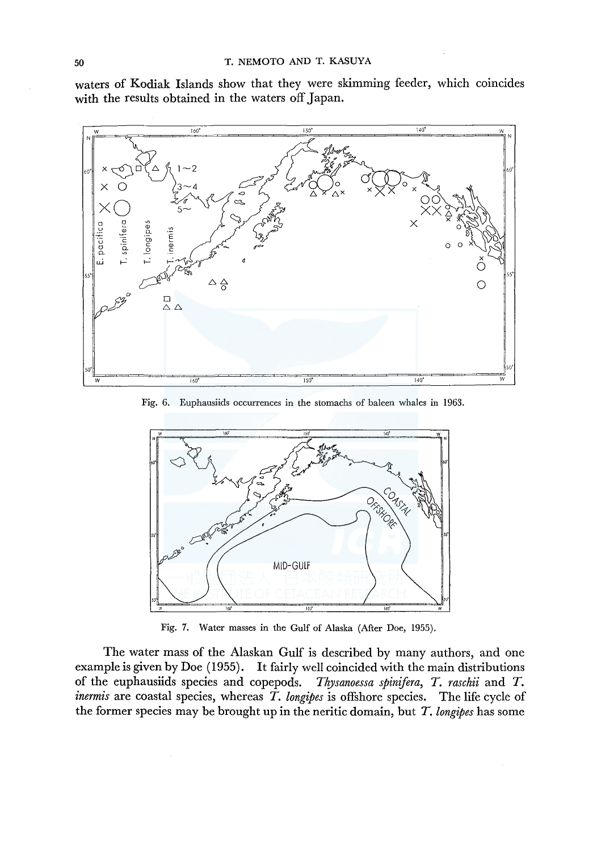waters of Kodiak Islands show that they were skimming feeder, which coincides with the results obtained in the waters off Japan.



Fig. 6. Euphausiids occurrences in the stomachs of baleen whales in 1963.



Fig. 7. Water masses in the Gulf of Alaska (After Doe, 1955).

The water mass of the Alaskan Gulf is described by many authors, and one example is given by Doe (1955). It fairly well coincided with the main distributions of the euphausiids species and copepods. *Thysanoessa spinifera, T. raschii* and *T. inermis* are coastal species, whereas *T. longipes* is offshore species. The life cycle of the former species may be brought up in the neritic domain, but *T. longipes* has some